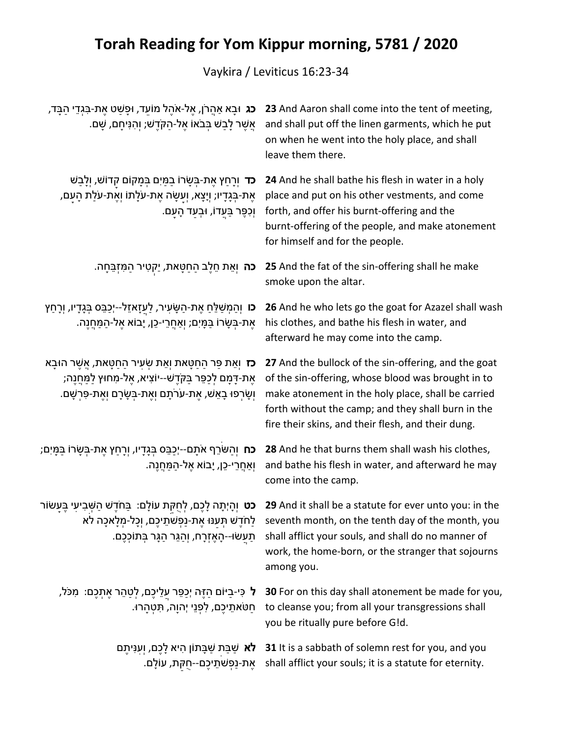## **Torah Reading for Yom Kippur morning, 5781 / 2020**

Vaykira / Leviticus 16:23-34

| <b>ָכג</b> וּבָא אַהֲרֹן, אֵל-אֹהֶל מוֹעֵד, וּפָשַׁט אֵת-בִּגְדֵי הַבָּד,<br>ְאֲשֶׁר לָבַשׁ בְּבֹאוֹ אֶל-הַקְּדֶשׁ; וְהִנִּיחָם, שָׁם.                                                                       | 23 And Aaron shall come into the tent of meeting,<br>and shall put off the linen garments, which he put<br>on when he went into the holy place, and shall<br>leave them there.                                                                                                                 |
|--------------------------------------------------------------------------------------------------------------------------------------------------------------------------------------------------------------|------------------------------------------------------------------------------------------------------------------------------------------------------------------------------------------------------------------------------------------------------------------------------------------------|
| <b>כד</b> וְרָחַץ אֶת-בְּשָׂרוֹ בַמַּיִם בִּמָּקוֹם קדוֹשׁ, וְלָבַשׁ<br>אֶת-בְּגָדָיו; וְיָצָא, וְעַשָׂה אֶת-עֹלָתוֹ וְאֶת-עֹלַת הָעָם,<br>ּוְכִפֶּר בַּעֲדוֹ, וּבְעַד הָעָם.                                | 24 And he shall bathe his flesh in water in a holy<br>place and put on his other vestments, and come<br>forth, and offer his burnt-offering and the<br>burnt-offering of the people, and make atonement<br>for himself and for the people.                                                     |
| <b>כה</b> וְאֵת חֵלֶב הַחַטָּאת, יַקְטִיר הַמִּזְבֵּחָה.                                                                                                                                                     | 25 And the fat of the sin-offering shall he make<br>smoke upon the altar.                                                                                                                                                                                                                      |
| <b>ָכו</b> וְהַמְשַׁלֵּחַ אֶת-הַשָּׂעִיר, לַעֲזָאזֵל--יְכַבֵּס בְּגָדָיו, וְרָחַץ<br>אֵת-בַּשַׂרוֹ בַּמַּיִם; ואַחַרֵי-כֵן, יָבוֹא אֵל-הַמַּחֲנֵה.                                                           | 26 And he who lets go the goat for Azazel shall wash<br>his clothes, and bathe his flesh in water, and<br>afterward he may come into the camp.                                                                                                                                                 |
| <b>כז</b> וְאֵת פַּר הַחַטָּאת וְאֵת שְׂעִיר הַחַטָּאת, אֲשֶׁר הוּבָא<br>ֹאֶת-דָּמָם לְכַפֵּר בַּקֹּדֵשׁ--יוֹצִיא, אֵל-מִחוּץ לַמַּחֲנֵה;<br>וְשָׂרְפוּ בָאֵשׁ, אֶת-עֹרֹתָם וְאֶת-בְּשָׂרָם וְאֶת-פִּרְשָׁם. | 27 And the bullock of the sin-offering, and the goat<br>of the sin-offering, whose blood was brought in to<br>make atonement in the holy place, shall be carried<br>forth without the camp; and they shall burn in the<br>fire their skins, and their flesh, and their dung.                   |
| <b>כּח</b> וְהַשֹּׂרֵף אֹתָם--יְכַבֵּס בְּגָדָיו, וְרָחַץ אֶת-בְּשָׂרוֹ בַּמָּיִם;<br>וְאַחֲרֵי-כֵן, יְבוֹא אֶל-הַמַּחֲנֶה.                                                                                  | 28 And he that burns them shall wash his clothes,<br>and bathe his flesh in water, and afterward he may<br>come into the camp.                                                                                                                                                                 |
| <b>ָכט</b> וְהָיְתָה לָכֶם, לְחֻקּת עוֹלָם: בַּחֹדֶשׁ הַשְּׁבִיעִי בֶּעַשׂוֹר<br>תַּעַשׂוּ--הָאֶזְרָח, וְהַגֵּר הַגָּר בְּתוֹכְכֶם.                                                                          | 29 And it shall be a statute for ever unto you: in the<br>teventh month, on the tenth day of the month, you לַחֹדֶשׁ תְּעַנּוּ אֶת-נַפְשֹׁתֵיכֶם, וְכָל-מְלָאכָה לא<br>shall afflict your souls, and shall do no manner of<br>work, the home-born, or the stranger that sojourns<br>among you. |
| ֹל כִּי-בַיּוֹם הַזֶּה יְכַפֵּר עַלֵיכֶם, לְטַהֵר אֶתְכֶם: מִכֹּל,<br>ּחַטֹּאתֵיכֶם, לִפְנֵי יְהוָה, תִּטְהָרוּ.                                                                                             | 30 For on this day shall atonement be made for you,<br>to cleanse you; from all your transgressions shall<br>you be ritually pure before G!d.                                                                                                                                                  |
| <b>לא</b> שַׁבַּת שַׁבָּתוֹן הִיא לָכֶם, וְעִנִּיתֶם<br>אֶת-נַפְשׁתֵיכֶם--חֻקּת, עוֹלָם.                                                                                                                     | 31 It is a sabbath of solemn rest for you, and you<br>shall afflict your souls; it is a statute for eternity.                                                                                                                                                                                  |
|                                                                                                                                                                                                              |                                                                                                                                                                                                                                                                                                |